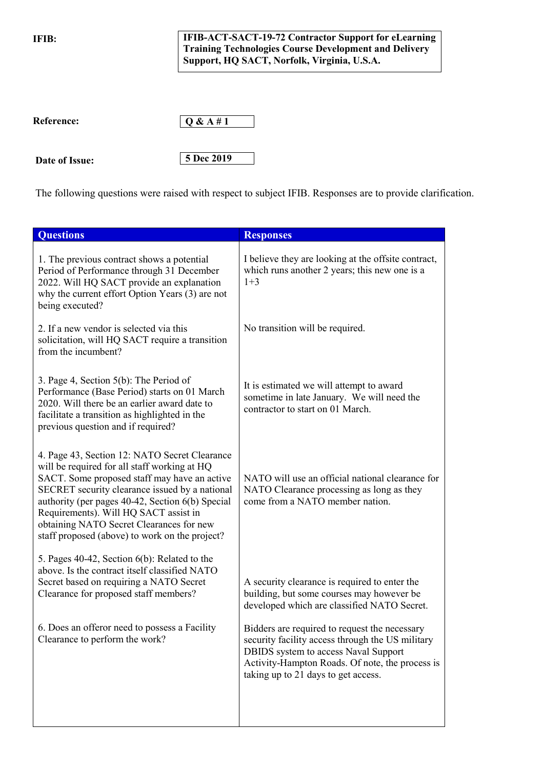**IFIB:**

**IFIB-ACT-SACT-19-72 Contractor Support for eLearning Training Technologies Course Development and Delivery Support, HQ SACT, Norfolk, Virginia, U.S.A.**

| <b>Reference:</b> | $\overline{Q}$ & A #1 |
|-------------------|-----------------------|
|                   |                       |

**Date of Issue:**

**5 Dec 2019**

The following questions were raised with respect to subject IFIB. Responses are to provide clarification.

| <b>Questions</b>                                                                                                                                                                                                                                                                                                                                                                           | <b>Responses</b>                                                                                                                                                                                                                           |
|--------------------------------------------------------------------------------------------------------------------------------------------------------------------------------------------------------------------------------------------------------------------------------------------------------------------------------------------------------------------------------------------|--------------------------------------------------------------------------------------------------------------------------------------------------------------------------------------------------------------------------------------------|
| 1. The previous contract shows a potential<br>Period of Performance through 31 December<br>2022. Will HQ SACT provide an explanation<br>why the current effort Option Years (3) are not<br>being executed?                                                                                                                                                                                 | I believe they are looking at the offsite contract,<br>which runs another 2 years; this new one is a<br>$1+3$                                                                                                                              |
| 2. If a new vendor is selected via this<br>solicitation, will HQ SACT require a transition<br>from the incumbent?                                                                                                                                                                                                                                                                          | No transition will be required.                                                                                                                                                                                                            |
| 3. Page 4, Section 5(b): The Period of<br>Performance (Base Period) starts on 01 March<br>2020. Will there be an earlier award date to<br>facilitate a transition as highlighted in the<br>previous question and if required?                                                                                                                                                              | It is estimated we will attempt to award<br>sometime in late January. We will need the<br>contractor to start on 01 March.                                                                                                                 |
| 4. Page 43, Section 12: NATO Secret Clearance<br>will be required for all staff working at HQ<br>SACT. Some proposed staff may have an active<br>SECRET security clearance issued by a national<br>authority (per pages 40-42, Section 6(b) Special<br>Requirements). Will HQ SACT assist in<br>obtaining NATO Secret Clearances for new<br>staff proposed (above) to work on the project? | NATO will use an official national clearance for<br>NATO Clearance processing as long as they<br>come from a NATO member nation.                                                                                                           |
| 5. Pages 40-42, Section 6(b): Related to the<br>above. Is the contract itself classified NATO<br>Secret based on requiring a NATO Secret<br>Clearance for proposed staff members?                                                                                                                                                                                                          | A security clearance is required to enter the<br>building, but some courses may however be<br>developed which are classified NATO Secret.                                                                                                  |
| 6. Does an offeror need to possess a Facility<br>Clearance to perform the work?                                                                                                                                                                                                                                                                                                            | Bidders are required to request the necessary<br>security facility access through the US military<br><b>DBIDS</b> system to access Naval Support<br>Activity-Hampton Roads. Of note, the process is<br>taking up to 21 days to get access. |
|                                                                                                                                                                                                                                                                                                                                                                                            |                                                                                                                                                                                                                                            |